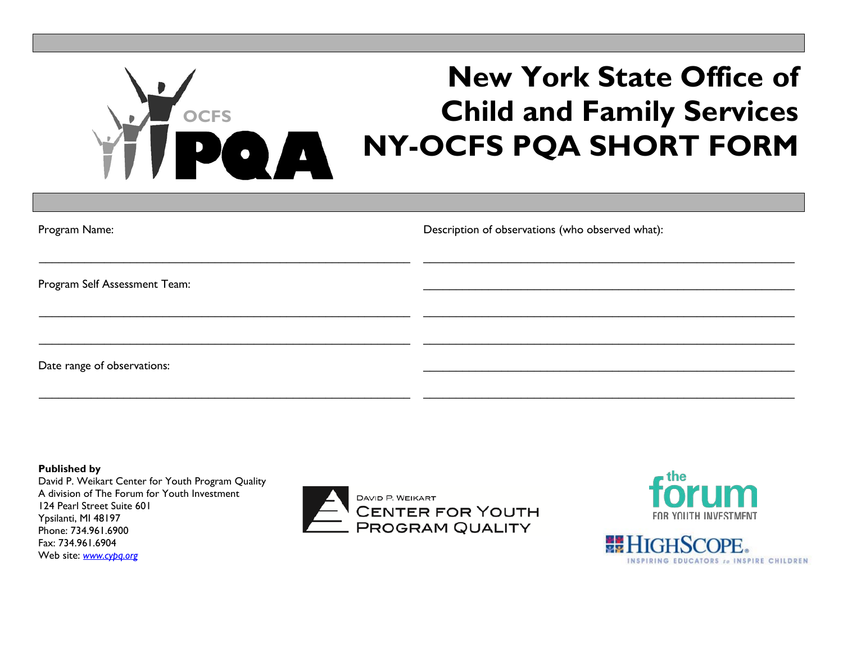# **New York State Office of Child and Family Services NY-OCFS PQA SHORT FORM OCFS**

| Program Name:                 | Description of observations (who observed what): |
|-------------------------------|--------------------------------------------------|
| Program Self Assessment Team: |                                                  |
|                               |                                                  |
| Date range of observations:   |                                                  |

**Published by** David P. Weikart Center for Youth Program Quality A division of The Forum for Youth Investment 124 Pearl Street Suite 601 Ypsilanti, MI 48197 Phone: 734.961.6900 Fax: 734.961.6904 Web site: *[www.cypq.org](http://www.cypq.org/)*

 $\_$  , and the set of the set of the set of the set of the set of the set of the set of the set of the set of the set of the set of the set of the set of the set of the set of the set of the set of the set of the set of th





\_\_\_\_\_\_\_\_\_\_\_\_\_\_\_\_\_\_\_\_\_\_\_\_\_\_\_\_\_\_\_\_\_\_\_\_\_\_\_\_\_\_\_\_\_\_\_\_\_\_\_\_\_\_\_\_\_

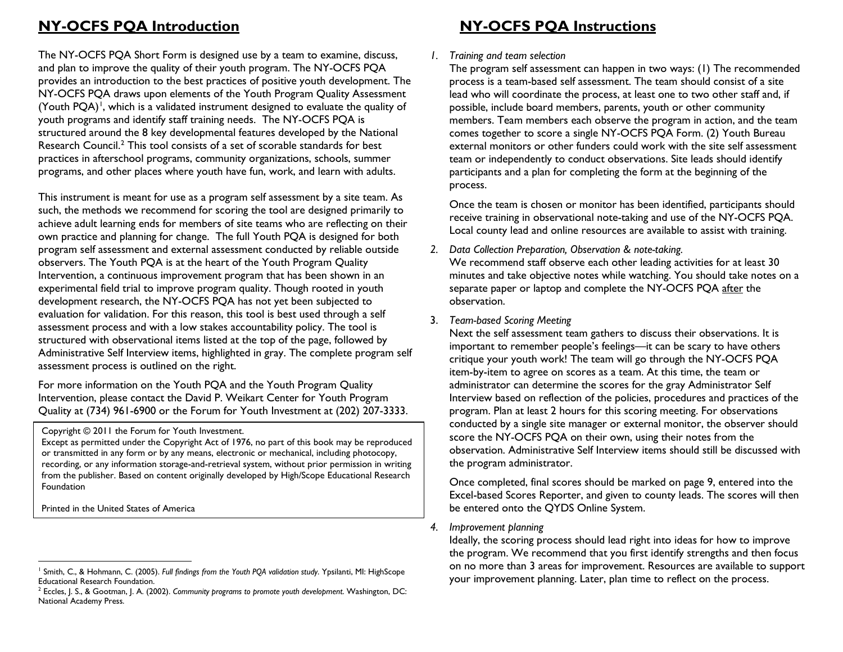## **NY-OCFS PQA Introduction NY-OCFS PQA Instructions**

The NY-OCFS PQA Short Form is designed use by a team to examine, discuss, and plan to improve the quality of their youth program. The NY-OCFS PQA provides an introduction to the best practices of positive youth development. The NY-OCFS PQA draws upon elements of the Youth Program Quality Assessment (Youth  $PQA$ )<sup>[1](#page-1-0)</sup>, which is a validated instrument designed to evaluate the quality of youth programs and identify staff training needs. The NY-OCFS PQA is structured around the 8 key developmental features developed by the National Research Council. [2](#page-1-1) This tool consists of a set of scorable standards for best practices in afterschool programs, community organizations, schools, summer programs, and other places where youth have fun, work, and learn with adults.

This instrument is meant for use as a program self assessment by a site team. As such, the methods we recommend for scoring the tool are designed primarily to achieve adult learning ends for members of site teams who are reflecting on their own practice and planning for change. The full Youth PQA is designed for both program self assessment and external assessment conducted by reliable outside observers. The Youth PQA is at the heart of the Youth Program Quality Intervention, a continuous improvement program that has been shown in an experimental field trial to improve program quality. Though rooted in youth development research, the NY-OCFS PQA has not yet been subjected to evaluation for validation. For this reason, this tool is best used through a self assessment process and with a low stakes accountability policy. The tool is structured with observational items listed at the top of the page, followed by Administrative Self Interview items, highlighted in gray. The complete program self assessment process is outlined on the right.

For more information on the Youth PQA and the Youth Program Quality Intervention, please contact the David P. Weikart Center for Youth Program Quality at (734) 961-6900 or the Forum for Youth Investment at (202) 207-3333.

Copyright © 2011 the Forum for Youth Investment.

Except as permitted under the Copyright Act of 1976, no part of this book may be reproduced or transmitted in any form or by any means, electronic or mechanical, including photocopy, recording, or any information storage-and-retrieval system, without prior permission in writing from the publisher. Based on content originally developed by High/Scope Educational Research Foundation

Printed in the United States of America

### <span id="page-1-1"></span><span id="page-1-0"></span>*1. Training and team selection*

The program self assessment can happen in two ways: (1) The recommended process is a team-based self assessment. The team should consist of a site lead who will coordinate the process, at least one to two other staff and, if possible, include board members, parents, youth or other community members. Team members each observe the program in action, and the team comes together to score a single NY-OCFS PQA Form. (2) Youth Bureau external monitors or other funders could work with the site self assessment team or independently to conduct observations. Site leads should identify participants and a plan for completing the form at the beginning of the process.

Once the team is chosen or monitor has been identified, participants should receive training in observational note-taking and use of the NY-OCFS PQA. Local county lead and online resources are available to assist with training.

### *2. Data Collection Preparation, Observation & note-taking.*

We recommend staff observe each other leading activities for at least 30 minutes and take objective notes while watching. You should take notes on a separate paper or laptop and complete the NY-OCFS PQA after the observation.

### 3. *Team-based Scoring Meeting*

Next the self assessment team gathers to discuss their observations. It is important to remember people's feelings—it can be scary to have others critique your youth work! The team will go through the NY-OCFS PQA item-by-item to agree on scores as a team. At this time, the team or administrator can determine the scores for the gray Administrator Self Interview based on reflection of the policies, procedures and practices of the program. Plan at least 2 hours for this scoring meeting. For observations conducted by a single site manager or external monitor, the observer should score the NY-OCFS PQA on their own, using their notes from the observation. Administrative Self Interview items should still be discussed with the program administrator.

Once completed, final scores should be marked on page 9, entered into the Excel-based Scores Reporter, and given to county leads. The scores will then be entered onto the QYDS Online System.

### *4. Improvement planning*

Ideally, the scoring process should lead right into ideas for how to improve the program. We recommend that you first identify strengths and then focus on no more than 3 areas for improvement. Resources are available to support your improvement planning. Later, plan time to reflect on the process.

<sup>1</sup> Smith, C., & Hohmann, C. (2005). *Full findings from the Youth PQA validation study*. Ypsilanti, MI: HighScope Educational Research Foundation.

<sup>2</sup> Eccles, J. S., & Gootman, J. A. (2002). *Community programs to promote youth development*. Washington, DC: National Academy Press.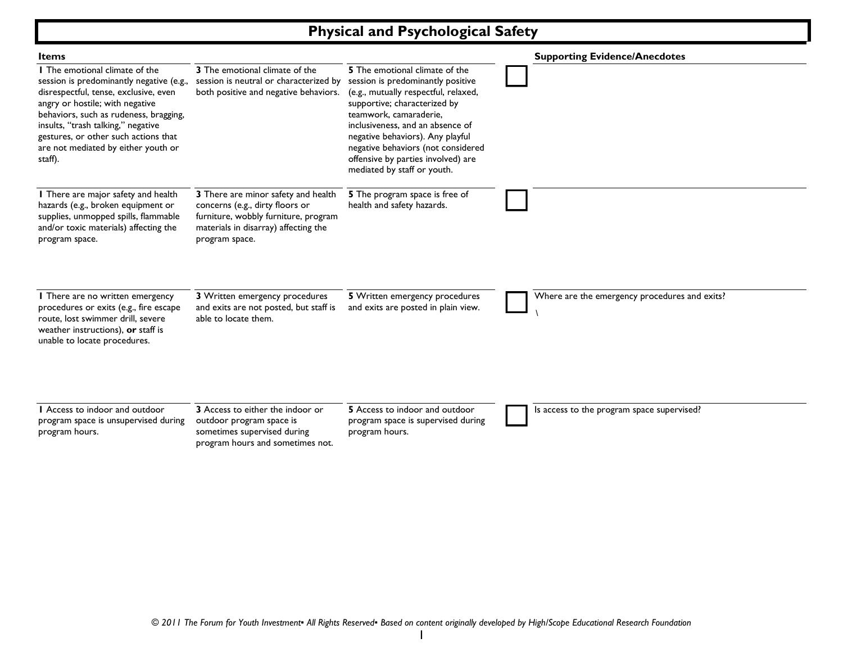# **Physical and Psychological Safety**

| <b>Items</b>                                                                                                                                                                                                                                                                                                                     |                                                                                                                                                                          |                                                                                                                                                                                                                                                                                                                                                          | <b>Supporting Evidence/Anecdotes</b>          |
|----------------------------------------------------------------------------------------------------------------------------------------------------------------------------------------------------------------------------------------------------------------------------------------------------------------------------------|--------------------------------------------------------------------------------------------------------------------------------------------------------------------------|----------------------------------------------------------------------------------------------------------------------------------------------------------------------------------------------------------------------------------------------------------------------------------------------------------------------------------------------------------|-----------------------------------------------|
| I The emotional climate of the<br>session is predominantly negative (e.g.,<br>disrespectful, tense, exclusive, even<br>angry or hostile; with negative<br>behaviors, such as rudeness, bragging,<br>insults, "trash talking," negative<br>gestures, or other such actions that<br>are not mediated by either youth or<br>staff). | 3 The emotional climate of the<br>session is neutral or characterized by<br>both positive and negative behaviors.                                                        | 5 The emotional climate of the<br>session is predominantly positive<br>(e.g., mutually respectful, relaxed,<br>supportive; characterized by<br>teamwork, camaraderie,<br>inclusiveness, and an absence of<br>negative behaviors). Any playful<br>negative behaviors (not considered<br>offensive by parties involved) are<br>mediated by staff or youth. |                                               |
| I There are major safety and health<br>hazards (e.g., broken equipment or<br>supplies, unmopped spills, flammable<br>and/or toxic materials) affecting the<br>program space.                                                                                                                                                     | 3 There are minor safety and health<br>concerns (e.g., dirty floors or<br>furniture, wobbly furniture, program<br>materials in disarray) affecting the<br>program space. | 5 The program space is free of<br>health and safety hazards.                                                                                                                                                                                                                                                                                             |                                               |
| I There are no written emergency<br>procedures or exits (e.g., fire escape<br>route, lost swimmer drill, severe<br>weather instructions), or staff is<br>unable to locate procedures.                                                                                                                                            | 3 Written emergency procedures<br>and exits are not posted, but staff is<br>able to locate them.                                                                         | 5 Written emergency procedures<br>and exits are posted in plain view.                                                                                                                                                                                                                                                                                    | Where are the emergency procedures and exits? |
| I Access to indoor and outdoor<br>program space is unsupervised during<br>program hours.                                                                                                                                                                                                                                         | 3 Access to either the indoor or<br>outdoor program space is<br>sometimes supervised during<br>program hours and sometimes not.                                          | 5 Access to indoor and outdoor<br>program space is supervised during<br>program hours.                                                                                                                                                                                                                                                                   | Is access to the program space supervised?    |

1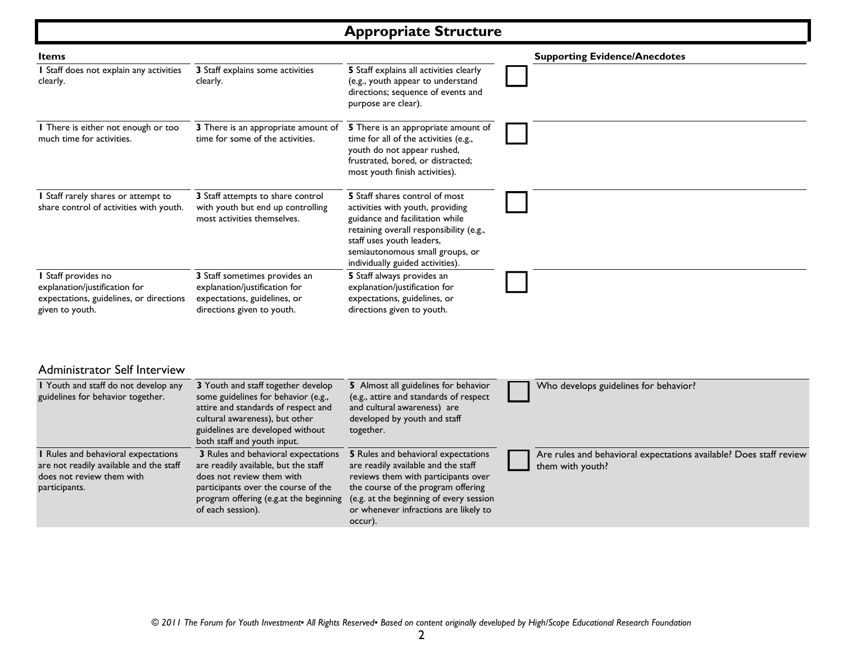# **Appropriate Structure**

| <b>Items</b>                                                                                                                 |                                                                                                                                                                                                                       |                                                                                                                                                                                                                                                        | <b>Supporting Evidence/Anecdotes</b>                                                   |
|------------------------------------------------------------------------------------------------------------------------------|-----------------------------------------------------------------------------------------------------------------------------------------------------------------------------------------------------------------------|--------------------------------------------------------------------------------------------------------------------------------------------------------------------------------------------------------------------------------------------------------|----------------------------------------------------------------------------------------|
| I Staff does not explain any activities<br>clearly.                                                                          | 3 Staff explains some activities<br>clearly.                                                                                                                                                                          | 5 Staff explains all activities clearly<br>(e.g., youth appear to understand<br>directions; sequence of events and<br>purpose are clear).                                                                                                              |                                                                                        |
| I There is either not enough or too<br>much time for activities.                                                             | 3 There is an appropriate amount of<br>time for some of the activities.                                                                                                                                               | 5 There is an appropriate amount of<br>time for all of the activities (e.g.,<br>youth do not appear rushed,<br>frustrated, bored, or distracted;<br>most youth finish activities).                                                                     |                                                                                        |
| I Staff rarely shares or attempt to<br>share control of activities with youth.                                               | 3 Staff attempts to share control<br>with youth but end up controlling<br>most activities themselves.                                                                                                                 | 5 Staff shares control of most<br>activities with youth, providing<br>guidance and facilitation while<br>retaining overall responsibility (e.g.,<br>staff uses youth leaders,<br>semiautonomous small groups, or<br>individually guided activities).   |                                                                                        |
| I Staff provides no<br>explanation/justification for<br>expectations, guidelines, or directions<br>given to youth.           | 3 Staff sometimes provides an<br>explanation/justification for<br>expectations, guidelines, or<br>directions given to youth.                                                                                          | 5 Staff always provides an<br>explanation/justification for<br>expectations, guidelines, or<br>directions given to youth.                                                                                                                              |                                                                                        |
| <b>Administrator Self Interview</b>                                                                                          |                                                                                                                                                                                                                       |                                                                                                                                                                                                                                                        |                                                                                        |
| I Youth and staff do not develop any<br>guidelines for behavior together.                                                    | 3 Youth and staff together develop<br>some guidelines for behavior (e.g.,<br>attire and standards of respect and<br>cultural awareness), but other<br>guidelines are developed without<br>both staff and youth input. | 5 Almost all guidelines for behavior<br>(e.g., attire and standards of respect<br>and cultural awareness) are<br>developed by youth and staff<br>together.                                                                                             | Who develops guidelines for behavior?                                                  |
| I Rules and behavioral expectations<br>are not readily available and the staff<br>does not review them with<br>participants. | 3 Rules and behavioral expectations<br>are readily available, but the staff<br>does not review them with<br>participants over the course of the<br>program offering (e.g.at the beginning<br>of each session).        | 5 Rules and behavioral expectations<br>are readily available and the staff<br>reviews them with participants over<br>the course of the program offering<br>(e.g. at the beginning of every session<br>or whenever infractions are likely to<br>occur). | Are rules and behavioral expectations available? Does staff review<br>them with youth? |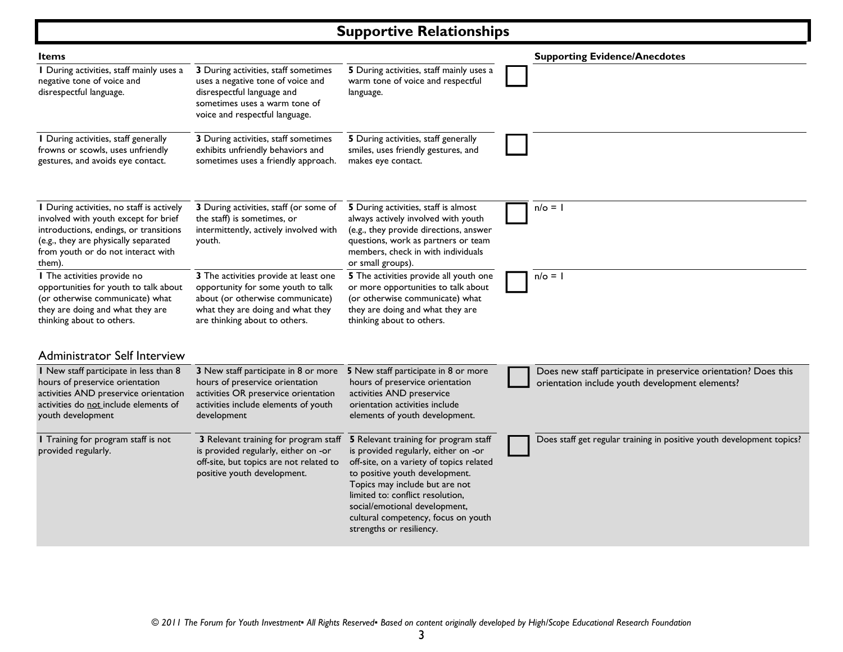# **Supportive Relationships**

| Items                                                                                                                                                                                                               |                                                                                                                                                                                       |                                                                                                                                                                                                                                                                                                                                       | <b>Supporting Evidence/Anecdotes</b>                                                                               |
|---------------------------------------------------------------------------------------------------------------------------------------------------------------------------------------------------------------------|---------------------------------------------------------------------------------------------------------------------------------------------------------------------------------------|---------------------------------------------------------------------------------------------------------------------------------------------------------------------------------------------------------------------------------------------------------------------------------------------------------------------------------------|--------------------------------------------------------------------------------------------------------------------|
| I During activities, staff mainly uses a<br>negative tone of voice and<br>disrespectful language.                                                                                                                   | 3 During activities, staff sometimes<br>uses a negative tone of voice and<br>disrespectful language and<br>sometimes uses a warm tone of<br>voice and respectful language.            | 5 During activities, staff mainly uses a<br>warm tone of voice and respectful<br>language.                                                                                                                                                                                                                                            |                                                                                                                    |
| I During activities, staff generally<br>frowns or scowls, uses unfriendly<br>gestures, and avoids eye contact.                                                                                                      | 3 During activities, staff sometimes<br>exhibits unfriendly behaviors and<br>sometimes uses a friendly approach.                                                                      | 5 During activities, staff generally<br>smiles, uses friendly gestures, and<br>makes eye contact.                                                                                                                                                                                                                                     |                                                                                                                    |
| I During activities, no staff is actively<br>involved with youth except for brief<br>introductions, endings, or transitions<br>(e.g., they are physically separated<br>from youth or do not interact with<br>them). | 3 During activities, staff (or some of<br>the staff) is sometimes, or<br>intermittently, actively involved with<br>youth.                                                             | 5 During activities, staff is almost<br>always actively involved with youth<br>(e.g., they provide directions, answer<br>questions, work as partners or team<br>members, check in with individuals<br>or small groups).                                                                                                               | $n/\circ = 1$                                                                                                      |
| I The activities provide no<br>opportunities for youth to talk about<br>(or otherwise communicate) what<br>they are doing and what they are<br>thinking about to others.                                            | 3 The activities provide at least one<br>opportunity for some youth to talk<br>about (or otherwise communicate)<br>what they are doing and what they<br>are thinking about to others. | 5 The activities provide all youth one<br>or more opportunities to talk about<br>(or otherwise communicate) what<br>they are doing and what they are<br>thinking about to others.                                                                                                                                                     | $n/\circ = 1$                                                                                                      |
| <b>Administrator Self Interview</b>                                                                                                                                                                                 |                                                                                                                                                                                       |                                                                                                                                                                                                                                                                                                                                       |                                                                                                                    |
| I New staff participate in less than 8<br>hours of preservice orientation<br>activities AND preservice orientation<br>activities do not include elements of<br>youth development                                    | 3 New staff participate in 8 or more<br>hours of preservice orientation<br>activities OR preservice orientation<br>activities include elements of youth<br>development                | 5 New staff participate in 8 or more<br>hours of preservice orientation<br>activities AND preservice<br>orientation activities include<br>elements of youth development.                                                                                                                                                              | Does new staff participate in preservice orientation? Does this<br>orientation include youth development elements? |
| I Training for program staff is not<br>provided regularly.                                                                                                                                                          | 3 Relevant training for program staff<br>is provided regularly, either on -or<br>off-site, but topics are not related to<br>positive youth development.                               | 5 Relevant training for program staff<br>is provided regularly, either on -or<br>off-site, on a variety of topics related<br>to positive youth development.<br>Topics may include but are not<br>limited to: conflict resolution,<br>social/emotional development,<br>cultural competency, focus on youth<br>strengths or resiliency. | Does staff get regular training in positive youth development topics?                                              |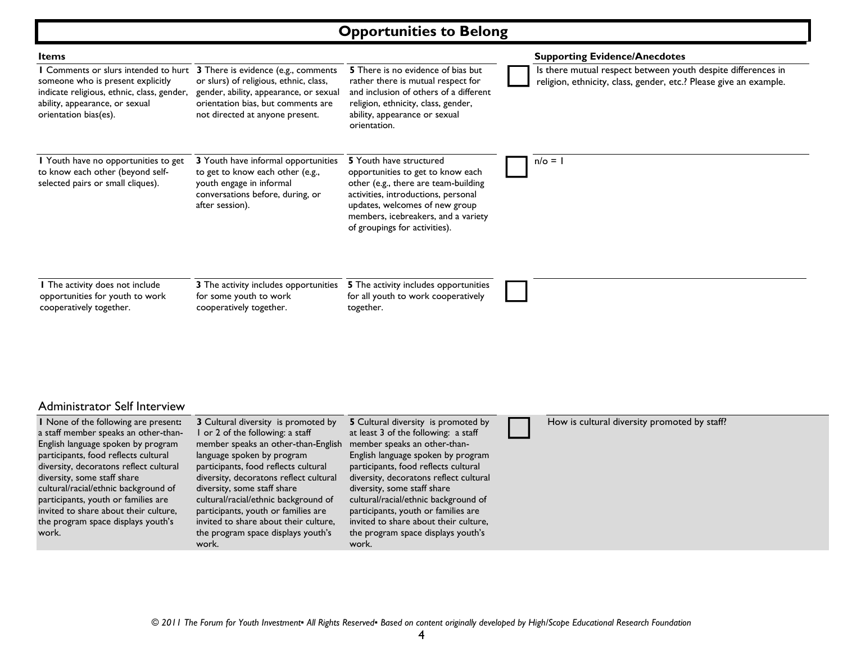### **Opportunities to Belong**

| Items                                                                                                                                                                                     |                                                                                                                                                                                                  |                                                                                                                                                                                                                                                       | <b>Supporting Evidence/Anecdotes</b>                                                                                              |
|-------------------------------------------------------------------------------------------------------------------------------------------------------------------------------------------|--------------------------------------------------------------------------------------------------------------------------------------------------------------------------------------------------|-------------------------------------------------------------------------------------------------------------------------------------------------------------------------------------------------------------------------------------------------------|-----------------------------------------------------------------------------------------------------------------------------------|
| <b>I</b> Comments or slurs intended to hurt<br>someone who is present explicitly<br>indicate religious, ethnic, class, gender,<br>ability, appearance, or sexual<br>orientation bias(es). | 3 There is evidence (e.g., comments<br>or slurs) of religious, ethnic, class,<br>gender, ability, appearance, or sexual<br>orientation bias, but comments are<br>not directed at anyone present. | <b>5</b> There is no evidence of bias but<br>rather there is mutual respect for<br>and inclusion of others of a different<br>religion, ethnicity, class, gender,<br>ability, appearance or sexual<br>orientation.                                     | Is there mutual respect between youth despite differences in<br>religion, ethnicity, class, gender, etc.? Please give an example. |
| I Youth have no opportunities to get<br>to know each other (beyond self-<br>selected pairs or small cliques).                                                                             | 3 Youth have informal opportunities<br>to get to know each other (e.g.,<br>youth engage in informal<br>conversations before, during, or<br>after session).                                       | 5 Youth have structured<br>opportunities to get to know each<br>other (e.g., there are team-building<br>activities, introductions, personal<br>updates, welcomes of new group<br>members, icebreakers, and a variety<br>of groupings for activities). | $n/\circ =$                                                                                                                       |
| I The activity does not include<br>opportunities for youth to work<br>cooperatively together.                                                                                             | 3 The activity includes opportunities<br>for some youth to work<br>cooperatively together.                                                                                                       | <b>5</b> The activity includes opportunities<br>for all youth to work cooperatively<br>together.                                                                                                                                                      |                                                                                                                                   |

### Administrator Self Interview

**1** None of the following are present**:** a staff member speaks an other-than-English language spoken by program participants, food reflects cultural diversity, decoratons reflect cultural diversity, some staff share cultural/racial/ethnic background of participants, youth or families are invited to share about their culture, the program space displays youth's work.

**3** Cultural diversity is promoted by 1 or 2 of the following: a staff member speaks an other-than-English language spoken by program participants, food reflects cultural diversity, decoratons reflect cultural diversity, some staff share cultural/racial/ethnic background of participants, youth or families are invited to share about their culture, the program space displays youth's work.

**5** Cultural diversity is promoted by at least 3 of the following: a staff member speaks an other-than-English language spoken by program participants, food reflects cultural diversity, decoratons reflect cultural diversity, some staff share cultural/racial/ethnic background of participants, youth or families are invited to share about their culture, the program space displays youth's work.

### How is cultural diversity promoted by staff?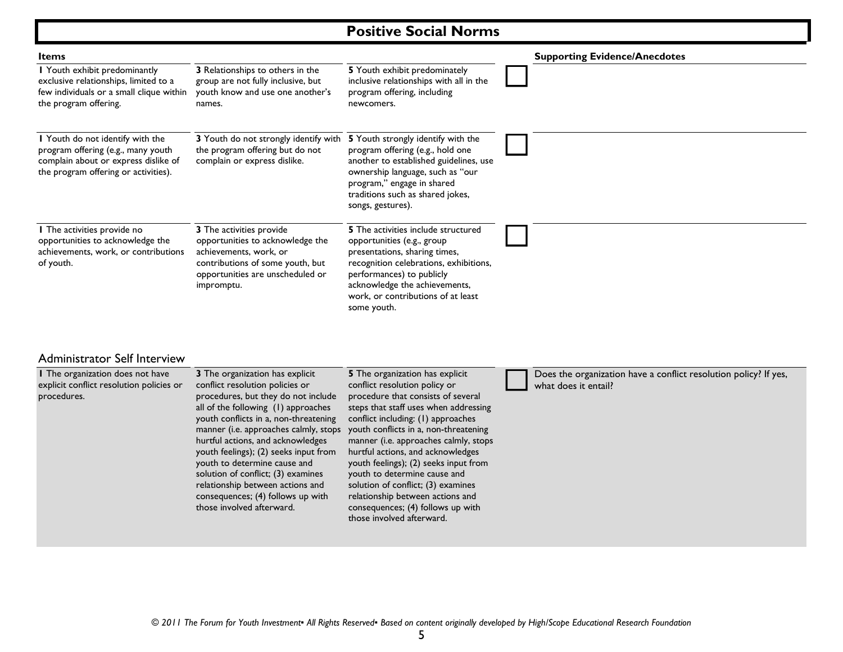# **Positive Social Norms**

| <b>Items</b>                                                                                                                                           |                                                                                                                                                                              |                                                                                                                                                                                                                                                                        | <b>Supporting Evidence/Anecdotes</b> |
|--------------------------------------------------------------------------------------------------------------------------------------------------------|------------------------------------------------------------------------------------------------------------------------------------------------------------------------------|------------------------------------------------------------------------------------------------------------------------------------------------------------------------------------------------------------------------------------------------------------------------|--------------------------------------|
| I Youth exhibit predominantly<br>exclusive relationships, limited to a<br>few individuals or a small clique within<br>the program offering.            | 3 Relationships to others in the<br>group are not fully inclusive, but<br>youth know and use one another's<br>names.                                                         | 5 Youth exhibit predominately<br>inclusive relationships with all in the<br>program offering, including<br>newcomers.                                                                                                                                                  |                                      |
| I Youth do not identify with the<br>program offering (e.g., many youth<br>complain about or express dislike of<br>the program offering or activities). | 3 Youth do not strongly identify with<br>the program offering but do not<br>complain or express dislike.                                                                     | 5 Youth strongly identify with the<br>program offering (e.g., hold one<br>another to established guidelines, use<br>ownership language, such as "our<br>program," engage in shared<br>traditions such as shared jokes,<br>songs, gestures).                            |                                      |
| I The activities provide no<br>opportunities to acknowledge the<br>achievements, work, or contributions<br>of youth.                                   | 3 The activities provide<br>opportunities to acknowledge the<br>achievements, work, or<br>contributions of some youth, but<br>opportunities are unscheduled or<br>impromptu. | <b>5</b> The activities include structured<br>opportunities (e.g., group<br>presentations, sharing times,<br>recognition celebrations, exhibitions,<br>performances) to publicly<br>acknowledge the achievements,<br>work, or contributions of at least<br>some youth. |                                      |

### Administrator Self Interview

| explicit conflict resolution policies or<br>conflict resolution policies or<br>conflict resolution policy or<br>procedures, but they do not include<br>procedure that consists of several<br>procedures.<br>all of the following (1) approaches<br>steps that staff uses when addressing<br>youth conflicts in a, non-threatening<br>conflict including: (1) approaches<br>youth conflicts in a, non-threatening<br>manner (i.e. approaches calmly, stops<br>manner (i.e. approaches calmly, stops<br>hurtful actions, and acknowledges<br>hurtful actions, and acknowledges<br>youth feelings); (2) seeks input from<br>youth to determine cause and<br>youth feelings); (2) seeks input from<br>solution of conflict; (3) examines<br>youth to determine cause and<br>relationship between actions and<br>solution of conflict; (3) examines<br>relationship between actions and<br>consequences; (4) follows up with<br>those involved afterward.<br>consequences; (4) follows up with<br>those involved afterward. | what does it entail? |
|------------------------------------------------------------------------------------------------------------------------------------------------------------------------------------------------------------------------------------------------------------------------------------------------------------------------------------------------------------------------------------------------------------------------------------------------------------------------------------------------------------------------------------------------------------------------------------------------------------------------------------------------------------------------------------------------------------------------------------------------------------------------------------------------------------------------------------------------------------------------------------------------------------------------------------------------------------------------------------------------------------------------|----------------------|
|------------------------------------------------------------------------------------------------------------------------------------------------------------------------------------------------------------------------------------------------------------------------------------------------------------------------------------------------------------------------------------------------------------------------------------------------------------------------------------------------------------------------------------------------------------------------------------------------------------------------------------------------------------------------------------------------------------------------------------------------------------------------------------------------------------------------------------------------------------------------------------------------------------------------------------------------------------------------------------------------------------------------|----------------------|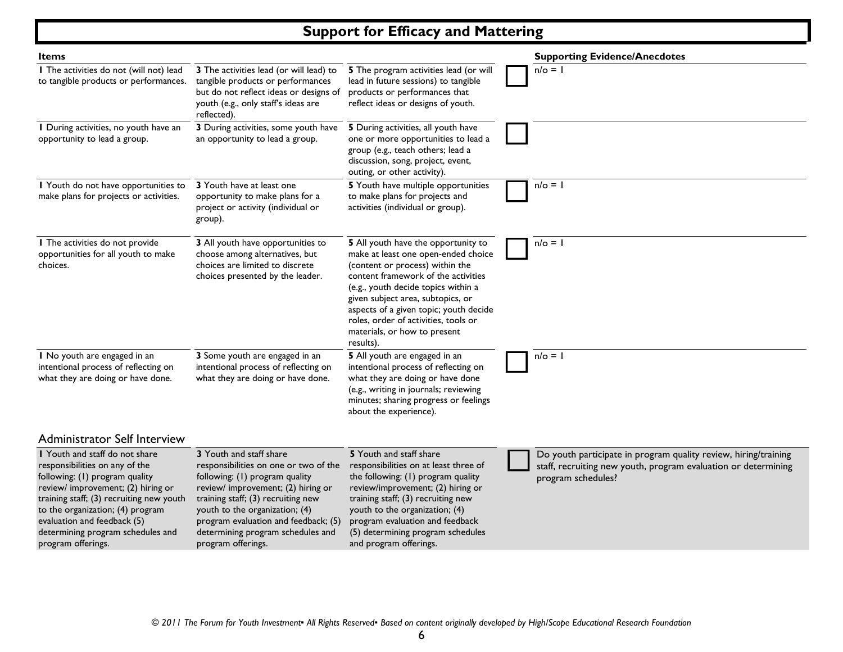# **Support for Efficacy and Mattering**

| <b>Items</b>                                                                                                                                                                                                                                                                                                       |                                                                                                                                                                                                                                                                                                                     |                                                                                                                                                                                                                                                                                                                                                                 | <b>Supporting Evidence/Anecdotes</b>                                                                                                                    |
|--------------------------------------------------------------------------------------------------------------------------------------------------------------------------------------------------------------------------------------------------------------------------------------------------------------------|---------------------------------------------------------------------------------------------------------------------------------------------------------------------------------------------------------------------------------------------------------------------------------------------------------------------|-----------------------------------------------------------------------------------------------------------------------------------------------------------------------------------------------------------------------------------------------------------------------------------------------------------------------------------------------------------------|---------------------------------------------------------------------------------------------------------------------------------------------------------|
| I The activities do not (will not) lead<br>to tangible products or performances.                                                                                                                                                                                                                                   | 3 The activities lead (or will lead) to<br>tangible products or performances<br>but do not reflect ideas or designs of<br>youth (e.g., only staff's ideas are<br>reflected).                                                                                                                                        | 5 The program activities lead (or will<br>lead in future sessions) to tangible<br>products or performances that<br>reflect ideas or designs of youth.                                                                                                                                                                                                           | $n/\circ = 1$                                                                                                                                           |
| I During activities, no youth have an<br>opportunity to lead a group.                                                                                                                                                                                                                                              | 3 During activities, some youth have<br>an opportunity to lead a group.                                                                                                                                                                                                                                             | 5 During activities, all youth have<br>one or more opportunities to lead a<br>group (e.g., teach others; lead a<br>discussion, song, project, event,<br>outing, or other activity).                                                                                                                                                                             |                                                                                                                                                         |
| I Youth do not have opportunities to<br>make plans for projects or activities.                                                                                                                                                                                                                                     | 3 Youth have at least one<br>opportunity to make plans for a<br>project or activity (individual or<br>group).                                                                                                                                                                                                       | 5 Youth have multiple opportunities<br>to make plans for projects and<br>activities (individual or group).                                                                                                                                                                                                                                                      | $n/\circ = 1$                                                                                                                                           |
| I The activities do not provide<br>opportunities for all youth to make<br>choices.                                                                                                                                                                                                                                 | 3 All youth have opportunities to<br>choose among alternatives, but<br>choices are limited to discrete<br>choices presented by the leader.                                                                                                                                                                          | 5 All youth have the opportunity to<br>make at least one open-ended choice<br>(content or process) within the<br>content framework of the activities<br>(e.g., youth decide topics within a<br>given subject area, subtopics, or<br>aspects of a given topic; youth decide<br>roles, order of activities, tools or<br>materials, or how to present<br>results). | $n/\circ = 1$                                                                                                                                           |
| I No youth are engaged in an<br>intentional process of reflecting on<br>what they are doing or have done.                                                                                                                                                                                                          | 3 Some youth are engaged in an<br>intentional process of reflecting on<br>what they are doing or have done.                                                                                                                                                                                                         | 5 All youth are engaged in an<br>intentional process of reflecting on<br>what they are doing or have done<br>(e.g., writing in journals; reviewing<br>minutes; sharing progress or feelings<br>about the experience).                                                                                                                                           | $n/\circ = 1$                                                                                                                                           |
| <b>Administrator Self Interview</b>                                                                                                                                                                                                                                                                                |                                                                                                                                                                                                                                                                                                                     |                                                                                                                                                                                                                                                                                                                                                                 |                                                                                                                                                         |
| I Youth and staff do not share<br>responsibilities on any of the<br>following: (1) program quality<br>review/ improvement; (2) hiring or<br>training staff; (3) recruiting new youth<br>to the organization; (4) program<br>evaluation and feedback (5)<br>determining program schedules and<br>program offerings. | 3 Youth and staff share<br>responsibilities on one or two of the<br>following: (1) program quality<br>review/ improvement; (2) hiring or<br>training staff; (3) recruiting new<br>youth to the organization; (4)<br>program evaluation and feedback; (5)<br>determining program schedules and<br>program offerings. | 5 Youth and staff share<br>responsibilities on at least three of<br>the following: (1) program quality<br>review/improvement; (2) hiring or<br>training staff; (3) recruiting new<br>youth to the organization; (4)<br>program evaluation and feedback<br>(5) determining program schedules<br>and program offerings.                                           | Do youth participate in program quality review, hiring/training<br>staff, recruiting new youth, program evaluation or determining<br>program schedules? |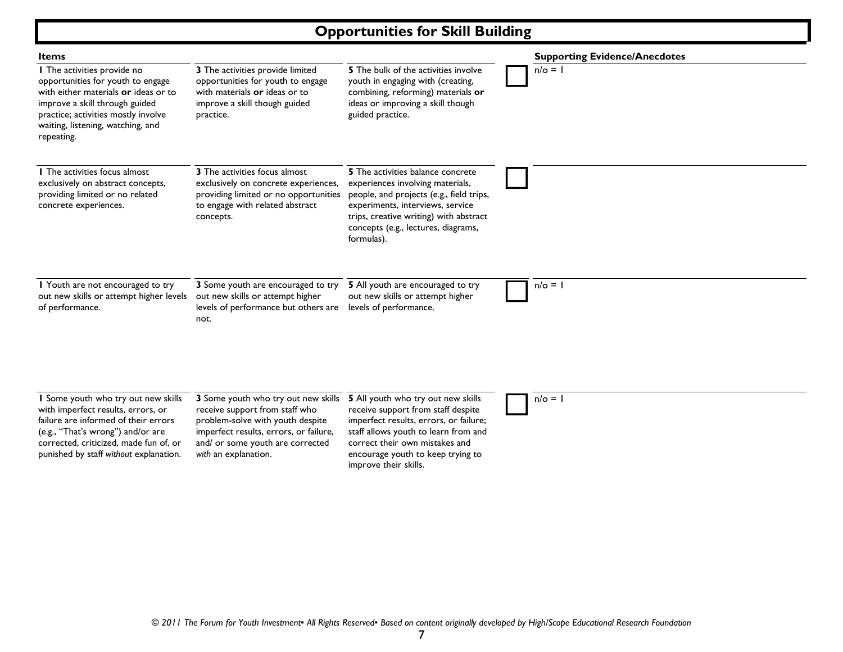# **Opportunities for Skill Building**

| <b>Items</b>                                                                                                                                                                                                                               |                                                                                                                                                                                                                 |                                                                                                                                                                                                                                                            | <b>Supporting Evidence/Anecdotes</b> |
|--------------------------------------------------------------------------------------------------------------------------------------------------------------------------------------------------------------------------------------------|-----------------------------------------------------------------------------------------------------------------------------------------------------------------------------------------------------------------|------------------------------------------------------------------------------------------------------------------------------------------------------------------------------------------------------------------------------------------------------------|--------------------------------------|
| I The activities provide no<br>opportunities for youth to engage<br>with either materials or ideas or to<br>improve a skill through guided<br>practice; activities mostly involve<br>waiting, listening, watching, and<br>repeating.       | 3 The activities provide limited<br>opportunities for youth to engage<br>with materials or ideas or to<br>improve a skill though guided<br>practice.                                                            | <b>5</b> The bulk of the activities involve<br>youth in engaging with (creating,<br>combining, reforming) materials or<br>ideas or improving a skill though<br>guided practice.                                                                            | $n/\circ = 1$                        |
| <b>I</b> The activities focus almost<br>exclusively on abstract concepts,<br>providing limited or no related<br>concrete experiences.                                                                                                      | 3 The activities focus almost<br>exclusively on concrete experiences,<br>providing limited or no opportunities<br>to engage with related abstract<br>concepts.                                                  | 5 The activities balance concrete<br>experiences involving materials,<br>people, and projects (e.g., field trips,<br>experiments, interviews, service<br>trips, creative writing) with abstract<br>concepts (e.g., lectures, diagrams,<br>formulas).       |                                      |
| I Youth are not encouraged to try<br>out new skills or attempt higher levels<br>of performance.                                                                                                                                            | 3 Some youth are encouraged to try<br>out new skills or attempt higher<br>levels of performance but others are<br>not.                                                                                          | 5 All youth are encouraged to try<br>out new skills or attempt higher<br>levels of performance.                                                                                                                                                            | $n/\circ = 1$                        |
| I Some youth who try out new skills<br>with imperfect results, errors, or<br>failure are informed of their errors<br>(e.g., "That's wrong") and/or are<br>corrected, criticized, made fun of, or<br>punished by staff without explanation. | 3 Some youth who try out new skills<br>receive support from staff who<br>problem-solve with youth despite<br>imperfect results, errors, or failure,<br>and/ or some youth are corrected<br>with an explanation. | 5 All youth who try out new skills<br>receive support from staff despite<br>imperfect results, errors, or failure;<br>staff allows youth to learn from and<br>correct their own mistakes and<br>encourage youth to keep trying to<br>improve their skills. | $n/\circ = 1$                        |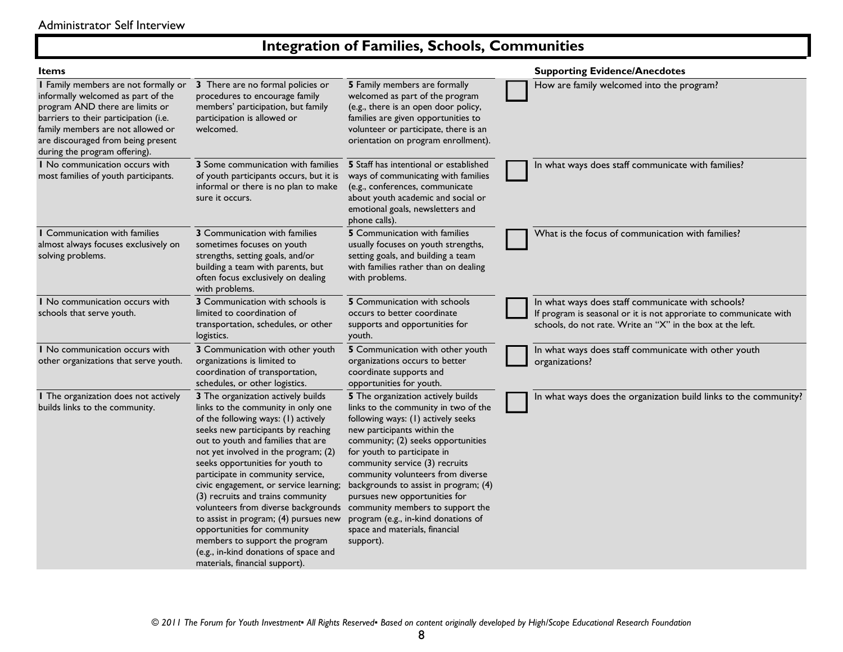# **Integration of Families, Schools, Communities**

| <b>Items</b>                                                                                                                                                                                                                                                       |                                                                                                                                                                                                                                                                                                                                                                                                                                                                                                                                                                                                                         |                                                                                                                                                                                                                                                                                                                                                                                                                                                                                                 | <b>Supporting Evidence/Anecdotes</b>                                                                                                                                                  |
|--------------------------------------------------------------------------------------------------------------------------------------------------------------------------------------------------------------------------------------------------------------------|-------------------------------------------------------------------------------------------------------------------------------------------------------------------------------------------------------------------------------------------------------------------------------------------------------------------------------------------------------------------------------------------------------------------------------------------------------------------------------------------------------------------------------------------------------------------------------------------------------------------------|-------------------------------------------------------------------------------------------------------------------------------------------------------------------------------------------------------------------------------------------------------------------------------------------------------------------------------------------------------------------------------------------------------------------------------------------------------------------------------------------------|---------------------------------------------------------------------------------------------------------------------------------------------------------------------------------------|
| I Family members are not formally or<br>informally welcomed as part of the<br>program AND there are limits or<br>barriers to their participation (i.e.<br>family members are not allowed or<br>are discouraged from being present<br>during the program offering). | 3 There are no formal policies or<br>procedures to encourage family<br>members' participation, but family<br>participation is allowed or<br>welcomed.                                                                                                                                                                                                                                                                                                                                                                                                                                                                   | 5 Family members are formally<br>welcomed as part of the program<br>(e.g., there is an open door policy,<br>families are given opportunities to<br>volunteer or participate, there is an<br>orientation on program enrollment).                                                                                                                                                                                                                                                                 | How are family welcomed into the program?                                                                                                                                             |
| I No communication occurs with<br>most families of youth participants.                                                                                                                                                                                             | <b>3</b> Some communication with families<br>of youth participants occurs, but it is<br>informal or there is no plan to make<br>sure it occurs.                                                                                                                                                                                                                                                                                                                                                                                                                                                                         | <b>5</b> Staff has intentional or established<br>ways of communicating with families<br>(e.g., conferences, communicate<br>about youth academic and social or<br>emotional goals, newsletters and<br>phone calls).                                                                                                                                                                                                                                                                              | In what ways does staff communicate with families?                                                                                                                                    |
| I Communication with families<br>almost always focuses exclusively on<br>solving problems.                                                                                                                                                                         | 3 Communication with families<br>sometimes focuses on youth<br>strengths, setting goals, and/or<br>building a team with parents, but<br>often focus exclusively on dealing<br>with problems.                                                                                                                                                                                                                                                                                                                                                                                                                            | 5 Communication with families<br>usually focuses on youth strengths,<br>setting goals, and building a team<br>with families rather than on dealing<br>with problems.                                                                                                                                                                                                                                                                                                                            | What is the focus of communication with families?                                                                                                                                     |
| I No communication occurs with<br>schools that serve youth.                                                                                                                                                                                                        | 3 Communication with schools is<br>limited to coordination of<br>transportation, schedules, or other<br>logistics.                                                                                                                                                                                                                                                                                                                                                                                                                                                                                                      | <b>5</b> Communication with schools<br>occurs to better coordinate<br>supports and opportunities for<br>youth.                                                                                                                                                                                                                                                                                                                                                                                  | In what ways does staff communicate with schools?<br>If program is seasonal or it is not approriate to communicate with<br>schools, do not rate. Write an "X" in the box at the left. |
| I No communication occurs with<br>other organizations that serve youth.                                                                                                                                                                                            | 3 Communication with other youth<br>organizations is limited to<br>coordination of transportation,<br>schedules, or other logistics.                                                                                                                                                                                                                                                                                                                                                                                                                                                                                    | 5 Communication with other youth<br>organizations occurs to better<br>coordinate supports and<br>opportunities for youth.                                                                                                                                                                                                                                                                                                                                                                       | In what ways does staff communicate with other youth<br>organizations?                                                                                                                |
| I The organization does not actively<br>builds links to the community.                                                                                                                                                                                             | 3 The organization actively builds<br>links to the community in only one<br>of the following ways: (1) actively<br>seeks new participants by reaching<br>out to youth and families that are<br>not yet involved in the program; (2)<br>seeks opportunities for youth to<br>participate in community service,<br>civic engagement, or service learning;<br>(3) recruits and trains community<br>volunteers from diverse backgrounds<br>to assist in program; (4) pursues new<br>opportunities for community<br>members to support the program<br>(e.g., in-kind donations of space and<br>materials, financial support). | 5 The organization actively builds<br>links to the community in two of the<br>following ways: (1) actively seeks<br>new participants within the<br>community; (2) seeks opportunities<br>for youth to participate in<br>community service (3) recruits<br>community volunteers from diverse<br>backgrounds to assist in program; (4)<br>pursues new opportunities for<br>community members to support the<br>program (e.g., in-kind donations of<br>space and materials, financial<br>support). | In what ways does the organization build links to the community?                                                                                                                      |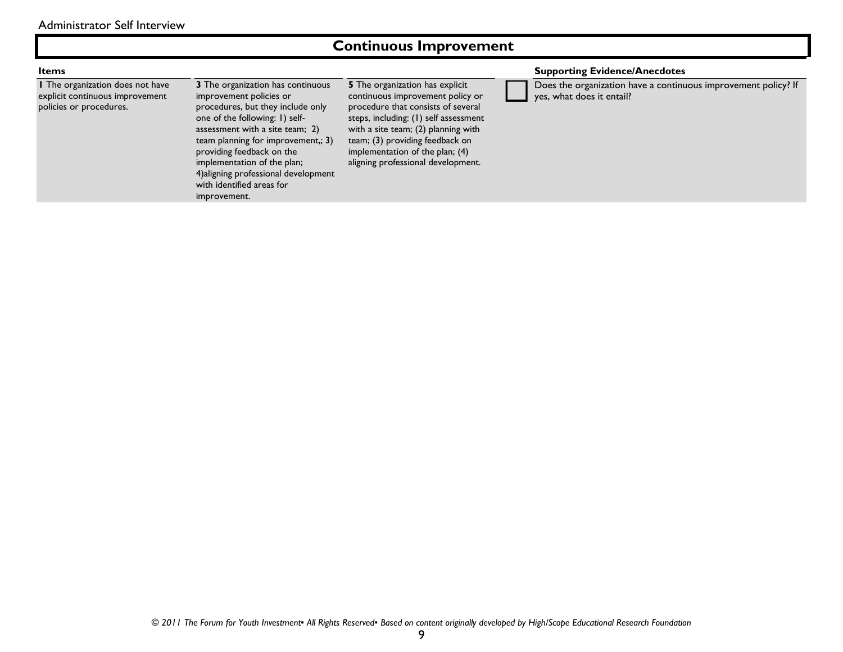### **Continuous Improvement**

**1** The organization does not have explicit continuous improvement policies or procedures.

**3** The organization has continuous improvement policies or procedures, but they include only one of the following: 1) selfassessment with a site team; 2) team planning for improvement,; 3) providing feedback on the implementation of the plan; 4)aligning professional development with identified areas for improvement.

**5** The organization has explicit continuous improvement policy or procedure that consists of several steps, including: (1) self assessment with a site team; (2) planning with team; (3) providing feedback on implementation of the plan; (4) aligning professional development.

### **Items Supporting Evidence/Anecdotes**

 Does the organization have a continuous improvement policy? If yes, what does it entail?